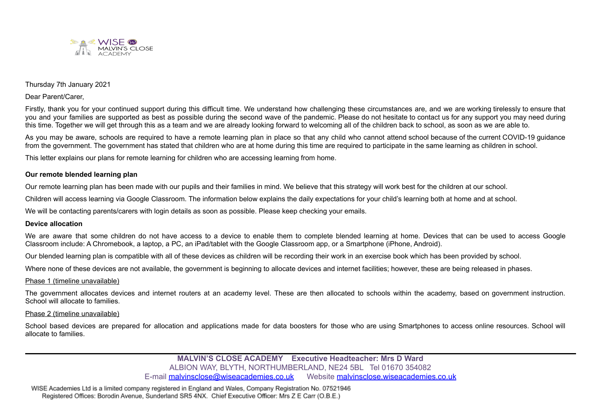

### Thursday 7th January 2021

Dear Parent/Carer,

Firstly, thank you for your continued support during this difficult time. We understand how challenging these circumstances are, and we are working tirelessly to ensure that you and your families are supported as best as possible during the second wave of the pandemic. Please do not hesitate to contact us for any support you may need during this time. Together we will get through this as a team and we are already looking forward to welcoming all of the children back to school, as soon as we are able to.

As you may be aware, schools are required to have a remote learning plan in place so that any child who cannot attend school because of the current COVID-19 guidance from the government. The government has stated that children who are at home during this time are required to participate in the same learning as children in school.

This letter explains our plans for remote learning for children who are accessing learning from home.

#### **Our remote blended learning plan**

Our remote learning plan has been made with our pupils and their families in mind. We believe that this strategy will work best for the children at our school.

Children will access learning via Google Classroom. The information below explains the daily expectations for your child's learning both at home and at school.

We will be contacting parents/carers with login details as soon as possible. Please keep checking your emails.

#### **Device allocation**

We are aware that some children do not have access to a device to enable them to complete blended learning at home. Devices that can be used to access Google Classroom include: A Chromebook, a laptop, a PC, an iPad/tablet with the Google Classroom app, or a Smartphone (iPhone, Android).

Our blended learning plan is compatible with all of these devices as children will be recording their work in an exercise book which has been provided by school.

Where none of these devices are not available, the government is beginning to allocate devices and internet facilities; however, these are being released in phases.

#### Phase 1 (timeline unavailable)

The government allocates devices and internet routers at an academy level. These are then allocated to schools within the academy, based on government instruction. School will allocate to families.

#### Phase 2 (timeline unavailable)

School based devices are prepared for allocation and applications made for data boosters for those who are using Smartphones to access online resources. School will allocate to families.

> **MALVIN'S CLOSE ACADEMY Executive Headteacher: Mrs D Ward** ALBION WAY, BLYTH, NORTHUMBERLAND, NE24 5BL Tel 01670 354082 E-mail [malvinsclose@wiseacademies.co.uk](mailto:croftway@wiseacademies.co.uk) Website [malvinsclose.wiseacademies.co.uk](https://hastinghill.wiseacademies.co.uk)

WISE Academies Ltd is a limited company registered in England and Wales, Company Registration No. 07521946 Registered Offices: Borodin Avenue, Sunderland SR5 4NX. Chief Executive Officer: Mrs Z E Carr (O.B.E.)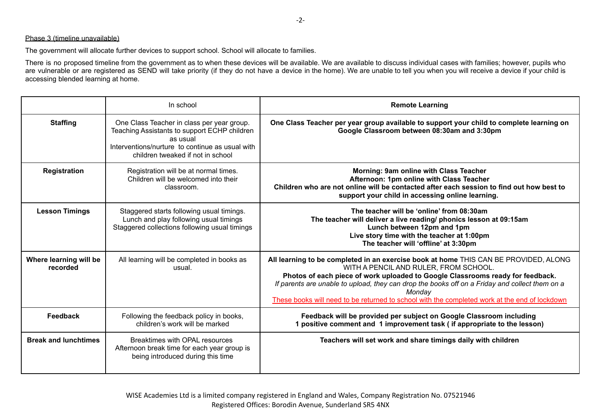### Phase 3 (timeline unavailable)

The government will allocate further devices to support school. School will allocate to families.

There is no proposed timeline from the government as to when these devices will be available. We are available to discuss individual cases with families; however, pupils who are vulnerable or are registered as SEND will take priority (if they do not have a device in the home). We are unable to tell you when you will receive a device if your child is accessing blended learning at home.

|                                    | In school                                                                                                                                                                                      | <b>Remote Learning</b>                                                                                                                                                                                                                                                                                                                                                                                                       |
|------------------------------------|------------------------------------------------------------------------------------------------------------------------------------------------------------------------------------------------|------------------------------------------------------------------------------------------------------------------------------------------------------------------------------------------------------------------------------------------------------------------------------------------------------------------------------------------------------------------------------------------------------------------------------|
| <b>Staffing</b>                    | One Class Teacher in class per year group.<br>Teaching Assistants to support ECHP children<br>as usual<br>Interventions/nurture to continue as usual with<br>children tweaked if not in school | One Class Teacher per year group available to support your child to complete learning on<br>Google Classroom between 08:30am and 3:30pm                                                                                                                                                                                                                                                                                      |
| <b>Registration</b>                | Registration will be at normal times.<br>Children will be welcomed into their<br>classroom.                                                                                                    | Morning: 9am online with Class Teacher<br>Afternoon: 1pm online with Class Teacher<br>Children who are not online will be contacted after each session to find out how best to<br>support your child in accessing online learning.                                                                                                                                                                                           |
| <b>Lesson Timings</b>              | Staggered starts following usual timings.<br>Lunch and play following usual timings<br>Staggered collections following usual timings                                                           | The teacher will be 'online' from 08:30am<br>The teacher will deliver a live reading/ phonics lesson at 09:15am<br>Lunch between 12pm and 1pm<br>Live story time with the teacher at 1:00pm<br>The teacher will 'offline' at 3:30pm                                                                                                                                                                                          |
| Where learning will be<br>recorded | All learning will be completed in books as<br>usual.                                                                                                                                           | All learning to be completed in an exercise book at home THIS CAN BE PROVIDED, ALONG<br>WITH A PENCIL AND RULER, FROM SCHOOL.<br>Photos of each piece of work uploaded to Google Classrooms ready for feedback.<br>If parents are unable to upload, they can drop the books off on a Friday and collect them on a<br>Monday<br>These books will need to be returned to school with the completed work at the end of lockdown |
| Feedback                           | Following the feedback policy in books,<br>children's work will be marked                                                                                                                      | Feedback will be provided per subject on Google Classroom including<br>1 positive comment and 1 improvement task (if appropriate to the lesson)                                                                                                                                                                                                                                                                              |
| <b>Break and lunchtimes</b>        | Breaktimes with OPAL resources<br>Afternoon break time for each year group is<br>being introduced during this time                                                                             | Teachers will set work and share timings daily with children                                                                                                                                                                                                                                                                                                                                                                 |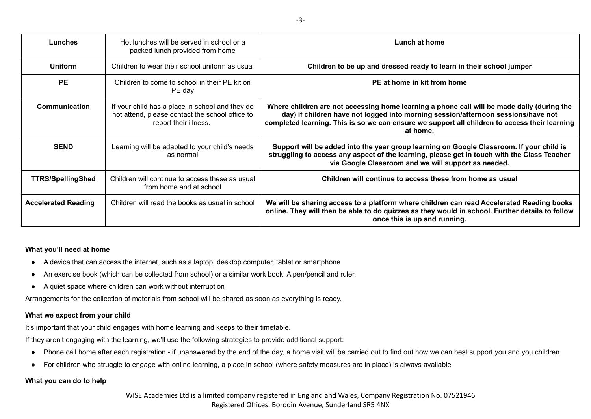| Lunches                    | Hot lunches will be served in school or a<br>packed lunch provided from home                                                | Lunch at home                                                                                                                                                                                                                                                                                |
|----------------------------|-----------------------------------------------------------------------------------------------------------------------------|----------------------------------------------------------------------------------------------------------------------------------------------------------------------------------------------------------------------------------------------------------------------------------------------|
| <b>Uniform</b>             | Children to wear their school uniform as usual                                                                              | Children to be up and dressed ready to learn in their school jumper                                                                                                                                                                                                                          |
| <b>PE</b>                  | Children to come to school in their PE kit on<br>PE day                                                                     | PE at home in kit from home                                                                                                                                                                                                                                                                  |
| <b>Communication</b>       | If your child has a place in school and they do<br>not attend, please contact the school office to<br>report their illness. | Where children are not accessing home learning a phone call will be made daily (during the<br>day) if children have not logged into morning session/afternoon sessions/have not<br>completed learning. This is so we can ensure we support all children to access their learning<br>at home. |
| <b>SEND</b>                | Learning will be adapted to your child's needs<br>as normal                                                                 | Support will be added into the year group learning on Google Classroom. If your child is<br>struggling to access any aspect of the learning, please get in touch with the Class Teacher<br>via Google Classroom and we will support as needed.                                               |
| <b>TTRS/SpellingShed</b>   | Children will continue to access these as usual<br>from home and at school                                                  | Children will continue to access these from home as usual                                                                                                                                                                                                                                    |
| <b>Accelerated Reading</b> | Children will read the books as usual in school                                                                             | We will be sharing access to a platform where children can read Accelerated Reading books<br>online. They will then be able to do quizzes as they would in school. Further details to follow<br>once this is up and running.                                                                 |

### **What you'll need at home**

- A device that can access the internet, such as a laptop, desktop computer, tablet or smartphone
- An exercise book (which can be collected from school) or a similar work book. A pen/pencil and ruler.
- A quiet space where children can work without interruption

Arrangements for the collection of materials from school will be shared as soon as everything is ready.

# **What we expect from your child**

It's important that your child engages with home learning and keeps to their timetable.

If they aren't engaging with the learning, we'll use the following strategies to provide additional support:

- Phone call home after each registration if unanswered by the end of the day, a home visit will be carried out to find out how we can best support you and you children.
- For children who struggle to engage with online learning, a place in school (where safety measures are in place) is always available

# **What you can do to help**

WISE Academies Ltd is a limited company registered in England and Wales, Company Registration No. 07521946 Registered Offices: Borodin Avenue, Sunderland SR5 4NX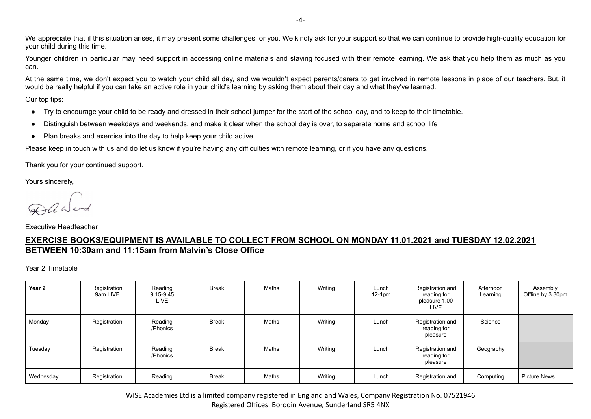We appreciate that if this situation arises, it may present some challenges for you. We kindly ask for your support so that we can continue to provide high-quality education for your child during this time.

Younger children in particular may need support in accessing online materials and staying focused with their remote learning. We ask that you help them as much as you can.

At the same time, we don't expect you to watch your child all day, and we wouldn't expect parents/carers to get involved in remote lessons in place of our teachers. But, it would be really helpful if you can take an active role in your child's learning by asking them about their day and what they've learned.

Our top tips:

- Try to encourage your child to be ready and dressed in their school jumper for the start of the school day, and to keep to their timetable.
- Distinguish between weekdays and weekends, and make it clear when the school day is over, to separate home and school life
- Plan breaks and exercise into the day to help keep your child active

Please keep in touch with us and do let us know if you're having any difficulties with remote learning, or if you have any questions.

Thank you for your continued support.

Yours sincerely,

Executive Headteacher

# **EXERCISE BOOKS/EQUIPMENT IS AVAILABLE TO COLLECT FROM SCHOOL ON MONDAY 11.01.2021 and TUESDAY 12.02.2021 BETWEEN 10:30am and 11:15am from Malvin's Close Office**

Year 2 Timetable

| Year 2    | Registration<br>9am LIVE | Reading<br>9.15-9.45<br><b>LIVE</b> | <b>Break</b> | Maths | Writing | Lunch<br>$12-1pm$ | Registration and<br>reading for<br>pleasure 1.00<br><b>LIVE</b> | Afternoon<br>Learning | Assembly<br>Offline by 3.30pm |
|-----------|--------------------------|-------------------------------------|--------------|-------|---------|-------------------|-----------------------------------------------------------------|-----------------------|-------------------------------|
| Monday    | Registration             | Reading<br>/Phonics                 | Break        | Maths | Writing | Lunch             | Registration and<br>reading for<br>pleasure                     | Science               |                               |
| Tuesday   | Registration             | Reading<br>/Phonics                 | <b>Break</b> | Maths | Writing | Lunch             | Registration and<br>reading for<br>pleasure                     | Geography             |                               |
| Wednesday | Registration             | Reading                             | <b>Break</b> | Maths | Writing | Lunch             | Registration and                                                | Computing             | <b>Picture News</b>           |

WISE Academies Ltd is a limited company registered in England and Wales, Company Registration No. 07521946 Registered Offices: Borodin Avenue, Sunderland SR5 4NX